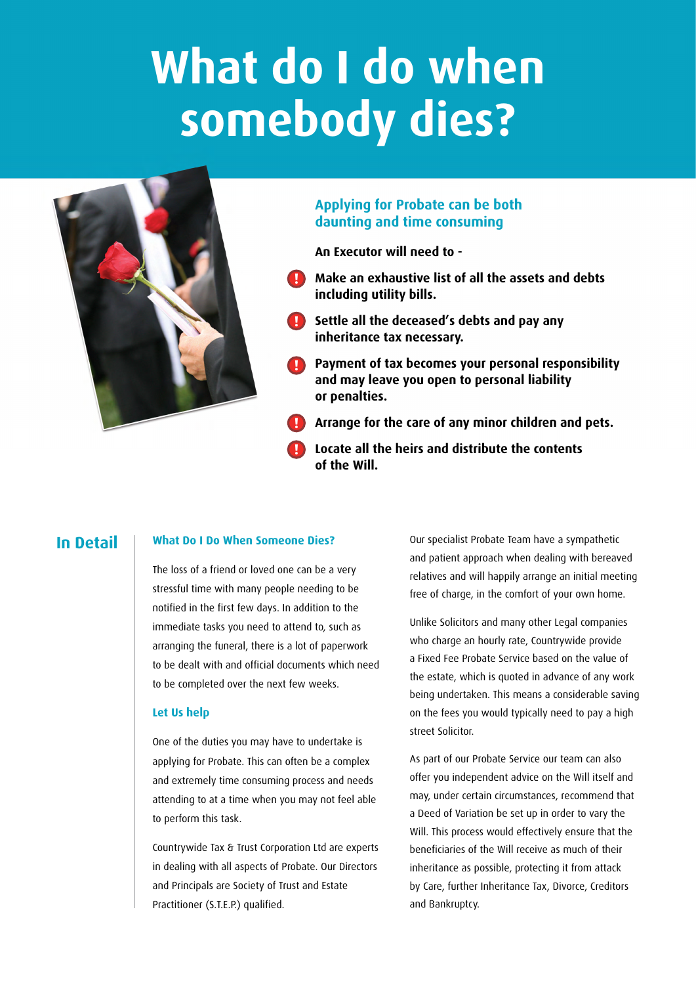# **What do I do when somebody dies?**

**!**



# **Applying for Probate can be both daunting and time consuming**

**An Executor will need to -**

- **Make an exhaustive list of all the assets and debts including utility bills.**
- **P** Settle all the deceased's debts and pay any **inheritance tax necessary.**
- **Payment of tax becomes your personal responsibility and may leave you open to personal liability or penalties. !**
- **Arrange for the care of any minor children and pets. !**
- **Locate all the heirs and distribute the contents of the Will. !**

# **In Detail**

## **What Do I Do When Someone Dies?**

The loss of a friend or loved one can be a very stressful time with many people needing to be notified in the first few days. In addition to the immediate tasks you need to attend to, such as arranging the funeral, there is a lot of paperwork to be dealt with and official documents which need to be completed over the next few weeks.

## **Let Us help**

One of the duties you may have to undertake is applying for Probate. This can often be a complex and extremely time consuming process and needs attending to at a time when you may not feel able to perform this task.

Countrywide Tax & Trust Corporation Ltd are experts in dealing with all aspects of Probate. Our Directors and Principals are Society of Trust and Estate Practitioner (S.T.E.P.) qualified.

Our specialist Probate Team have a sympathetic and patient approach when dealing with bereaved relatives and will happily arrange an initial meeting free of charge, in the comfort of your own home.

Unlike Solicitors and many other Legal companies who charge an hourly rate, Countrywide provide a Fixed Fee Probate Service based on the value of the estate, which is quoted in advance of any work being undertaken. This means a considerable saving on the fees you would typically need to pay a high street Solicitor.

As part of our Probate Service our team can also offer you independent advice on the Will itself and may, under certain circumstances, recommend that a Deed of Variation be set up in order to vary the Will. This process would effectively ensure that the beneficiaries of the Will receive as much of their inheritance as possible, protecting it from attack by Care, further Inheritance Tax, Divorce, Creditors and Bankruptcy.